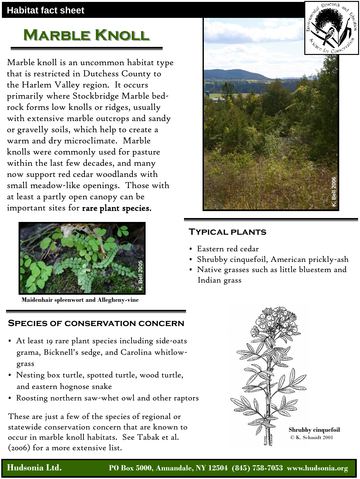### **Habitat fact sheet**

# **Marble Knoll**

Marble knoll is an uncommon habitat type that is restricted in Dutchess County to the Harlem Valley region. It occurs primarily where Stockbridge Marble bedrock forms low knolls or ridges, usually with extensive marble outcrops and sandy or gravelly soils, which help to create a warm and dry microclimate. Marble knolls were commonly used for pasture within the last few decades, and many now support red cedar woodlands with small meadow-like openings. Those with at least a partly open canopy can be important sites for rare plant species.



**Maidenhair spleenwort and Allegheny-vine**

#### **Species of conservation concern**

- At least 19 rare plant species including side-oats grama, Bicknell's sedge, and Carolina whitlow grass
- Nesting box turtle, spotted turtle, wood turtle, and eastern hognose snake
- Roosting northern saw-whet owl and other raptors

These are just a few of the species of regional or statewide conservation concern that are known to occur in marble knoll habitats. See Tabak et al. (2006) for a more extensive list.



#### **Typical plants**

- Eastern red cedar
- Shrubby cinquefoil, American prickly-ash
- Native grasses such as little bluestem and Indian grass